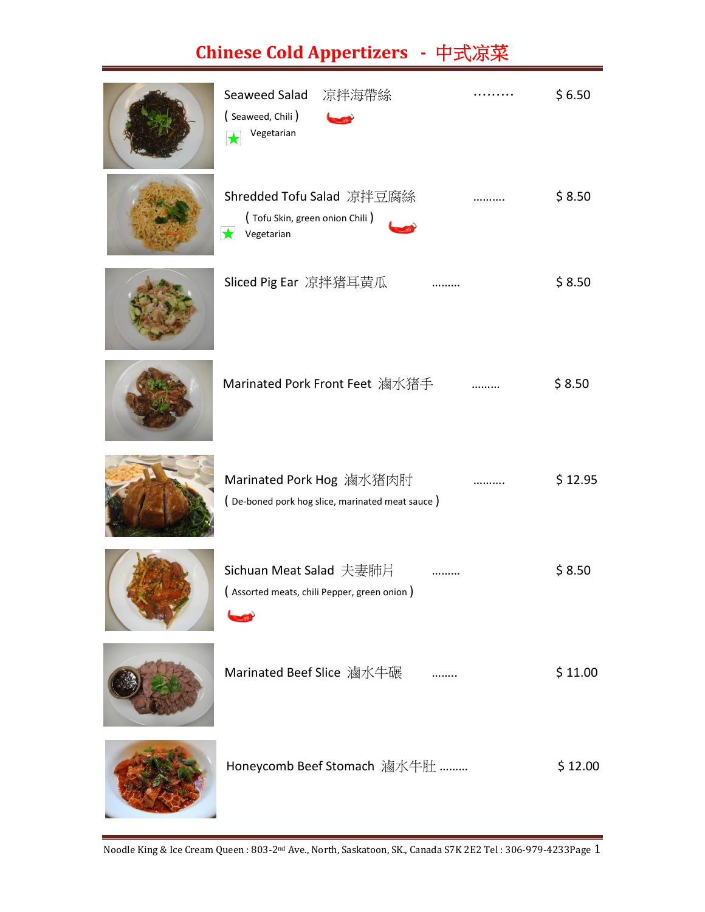## **Chinese Cold Appertizers -** 中式凉菜

| Seaweed Salad<br>凉拌海帶絲<br>(Seaweed, Chili)<br>Vegetarian<br>$\bigstar$                  | \$6.50  |
|-----------------------------------------------------------------------------------------|---------|
| Shredded Tofu Salad 凉拌豆腐絲<br>(Tofu Skin, green onion Chili)<br>$\bigstar$<br>Vegetarian | \$8.50  |
| Sliced Pig Ear 凉拌猪耳黄瓜                                                                   | \$8.50  |
| Marinated Pork Front Feet 滷水猪手                                                          | \$8.50  |
| Marinated Pork Hog 滷水猪肉肘<br>(De-boned pork hog slice, marinated meat sauce)             | \$12.95 |
| Sichuan Meat Salad 夫妻肺片<br>(Assorted meats, chili Pepper, green onion)                  | \$8.50  |
| Marinated Beef Slice 滷水牛碾                                                               | \$11.00 |
| Honeycomb Beef Stomach 滷水牛肚                                                             | \$12.00 |

Noodle King & Ice Cream Queen : 803-2nd Ave., North, Saskatoon, SK., Canada S7K 2E2 Tel : 306-979-4233Page 1